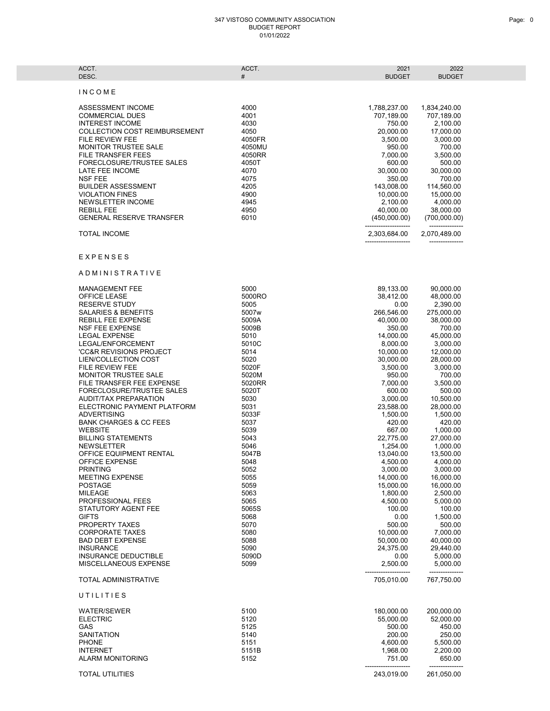## 347 VISTOSO COMMUNITY ASSOCIATION BUDGET REPORT 01/01/2022

| ACCT.<br>DESC.                                                                                                                                                                                                                                                                                                                                                                                     | ACCT.<br>#                                                                                                                  | 2021<br><b>BUDGET</b>                                                                                                                                                                    | 2022<br><b>BUDGET</b>                                                                                                                                                                      |  |
|----------------------------------------------------------------------------------------------------------------------------------------------------------------------------------------------------------------------------------------------------------------------------------------------------------------------------------------------------------------------------------------------------|-----------------------------------------------------------------------------------------------------------------------------|------------------------------------------------------------------------------------------------------------------------------------------------------------------------------------------|--------------------------------------------------------------------------------------------------------------------------------------------------------------------------------------------|--|
| INCOME                                                                                                                                                                                                                                                                                                                                                                                             |                                                                                                                             |                                                                                                                                                                                          |                                                                                                                                                                                            |  |
| ASSESSMENT INCOME<br><b>COMMERCIAL DUES</b><br><b>INTEREST INCOME</b><br><b>COLLECTION COST REIMBURSEMENT</b><br><b>FILE REVIEW FEE</b><br>MONITOR TRUSTEE SALE<br>FILE TRANSFER FEES<br>FORECLOSURE/TRUSTEE SALES<br>LATE FEE INCOME<br><b>NSF FEE</b><br><b>BUILDER ASSESSMENT</b><br><b>VIOLATION FINES</b><br><b>NEWSLETTER INCOME</b><br><b>REBILL FEE</b><br><b>GENERAL RESERVE TRANSFER</b> | 4000<br>4001<br>4030<br>4050<br>4050FR<br>4050MU<br>4050RR<br>4050T<br>4070<br>4075<br>4205<br>4900<br>4945<br>4950<br>6010 | 1,788,237.00<br>707,189.00<br>750.00<br>20,000.00<br>3,500.00<br>950.00<br>7,000.00<br>600.00<br>30.000.00<br>350.00<br>143,008.00<br>10,000.00<br>2,100.00<br>40,000.00<br>(450,000.00) | 1,834,240.00<br>707,189.00<br>2,100.00<br>17,000.00<br>3,000.00<br>700.00<br>3,500.00<br>500.00<br>30,000.00<br>700.00<br>114,560.00<br>15,000.00<br>4,000.00<br>38,000.00<br>(700,000.00) |  |
| <b>TOTAL INCOME</b>                                                                                                                                                                                                                                                                                                                                                                                |                                                                                                                             | 2,303,684.00                                                                                                                                                                             | 2,070,489.00                                                                                                                                                                               |  |
| <b>EXPENSES</b><br>ADMINISTRATIVE<br><b>MANAGEMENT FEE</b>                                                                                                                                                                                                                                                                                                                                         | 5000                                                                                                                        | 89,133.00                                                                                                                                                                                | 90,000.00                                                                                                                                                                                  |  |
| <b>OFFICE LEASE</b><br><b>RESERVE STUDY</b><br><b>SALARIES &amp; BENEFITS</b>                                                                                                                                                                                                                                                                                                                      | 5000RO<br>5005<br>5007w                                                                                                     | 38,412.00<br>0.00<br>266,546.00                                                                                                                                                          | 48,000.00<br>2,390.00<br>275,000.00                                                                                                                                                        |  |
| <b>REBILL FEE EXPENSE</b><br><b>NSF FEE EXPENSE</b><br><b>LEGAL EXPENSE</b><br>LEGAL/ENFORCEMENT<br>'CC&R REVISIONS PROJECT<br>LIEN/COLLECTION COST                                                                                                                                                                                                                                                | 5009A<br>5009B<br>5010<br>5010C<br>5014<br>5020                                                                             | 40,000.00<br>350.00<br>14,000.00<br>8,000.00<br>10,000.00<br>30,000.00                                                                                                                   | 38,000.00<br>700.00<br>45,000.00<br>3,000.00<br>12,000.00<br>28,000.00                                                                                                                     |  |
| FILE REVIEW FEE<br><b>MONITOR TRUSTEE SALE</b><br>FILE TRANSFER FEE EXPENSE<br>FORECLOSURE/TRUSTEE SALES<br>AUDIT/TAX PREPARATION<br>ELECTRONIC PAYMENT PLATFORM                                                                                                                                                                                                                                   | 5020F<br>5020M<br>5020RR<br>5020T<br>5030<br>5031                                                                           | 3,500.00<br>950.00<br>7,000.00<br>600.00<br>3,000.00<br>23,588.00                                                                                                                        | 3,000.00<br>700.00<br>3,500.00<br>500.00<br>10,500.00<br>28,000.00                                                                                                                         |  |
| <b>ADVERTISING</b><br><b>BANK CHARGES &amp; CC FEES</b><br><b>WEBSITE</b><br><b>BILLING STATEMENTS</b><br><b>NEWSLETTER</b><br>OFFICE EQUIPMENT RENTAL                                                                                                                                                                                                                                             | 5033F<br>5037<br>5039<br>5043<br>5046<br>5047B                                                                              | 1,500.00<br>420.00<br>667.00<br>22,775.00<br>1,254.00<br>13,040.00                                                                                                                       | 1,500.00<br>420.00<br>1,000.00<br>27,000.00<br>1,000.00<br>13,500.00                                                                                                                       |  |
| OFFICE EXPENSE<br><b>PRINTING</b><br><b>MEETING EXPENSE</b><br><b>POSTAGE</b><br><b>MILEAGE</b>                                                                                                                                                                                                                                                                                                    | 5048<br>5052<br>5055<br>5059<br>5063                                                                                        | 4,500.00<br>3,000.00<br>14,000.00<br>15,000.00<br>1,800.00                                                                                                                               | 4,000.00<br>3,000.00<br>16,000.00<br>16,000.00<br>2,500.00                                                                                                                                 |  |
| PROFESSIONAL FEES<br>STATUTORY AGENT FEE<br><b>GIFTS</b><br>PROPERTY TAXES<br><b>CORPORATE TAXES</b><br><b>BAD DEBT EXPENSE</b>                                                                                                                                                                                                                                                                    | 5065<br>5065S<br>5068<br>5070<br>5080<br>5088                                                                               | 4,500.00<br>100.00<br>0.00<br>500.00<br>10,000.00<br>50,000.00                                                                                                                           | 5,000.00<br>100.00<br>1,500.00<br>500.00<br>7,000.00<br>40,000.00                                                                                                                          |  |
| <b>INSURANCE</b><br><b>INSURANCE DEDUCTIBLE</b><br>MISCELLANEOUS EXPENSE<br><b>TOTAL ADMINISTRATIVE</b>                                                                                                                                                                                                                                                                                            | 5090<br>5090D<br>5099                                                                                                       | 24.375.00<br>0.00<br>2,500.00<br>705,010.00                                                                                                                                              | 29,440.00<br>5,000.00<br>5,000.00<br>767,750.00                                                                                                                                            |  |
| UTILITIES                                                                                                                                                                                                                                                                                                                                                                                          |                                                                                                                             |                                                                                                                                                                                          |                                                                                                                                                                                            |  |
| <b>WATER/SEWER</b><br><b>ELECTRIC</b><br>GAS<br><b>SANITATION</b><br><b>PHONE</b><br><b>INTERNET</b><br><b>ALARM MONITORING</b>                                                                                                                                                                                                                                                                    | 5100<br>5120<br>5125<br>5140<br>5151<br>5151B<br>5152                                                                       | 180,000.00<br>55,000.00<br>500.00<br>200.00<br>4,600.00<br>1,968.00<br>751.00                                                                                                            | 200,000.00<br>52,000.00<br>450.00<br>250.00<br>5,500.00<br>2,200.00<br>650.00                                                                                                              |  |
| <b>TOTAL UTILITIES</b>                                                                                                                                                                                                                                                                                                                                                                             |                                                                                                                             | 243,019.00                                                                                                                                                                               | 261,050.00                                                                                                                                                                                 |  |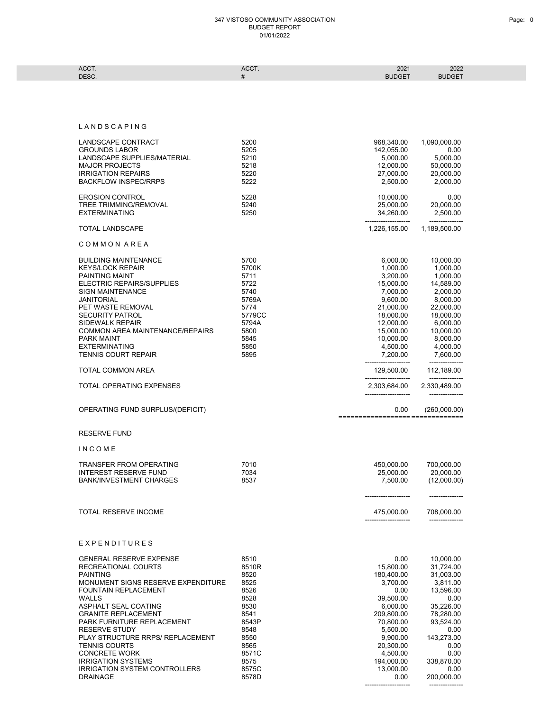## 347 VISTOSO COMMUNITY ASSOCIATION BUDGET REPORT 01/01/2022

| ACCT.            | 0.007 | 2021                               | 2022<br><b>ZUZZ</b> |  |
|------------------|-------|------------------------------------|---------------------|--|
| DESC <sup></sup> |       | $\sim$ $\sim$ $\sim$ $\sim$ $\sim$ | <b>RUDGET</b>       |  |
|                  |       |                                    |                     |  |

## L A N D S C A P I N G

| LANDSCAPE CONTRACT<br><b>GROUNDS LABOR</b><br>LANDSCAPE SUPPLIES/MATERIAL<br><b>MAJOR PROJECTS</b><br><b>IRRIGATION REPAIRS</b><br><b>BACKFLOW INSPEC/RRPS</b>                                                                                                                                                                                                                                                                                 | 5200<br>5205<br>5210<br>5218<br>5220<br>5222                                                                                      | 968,340.00<br>142,055.00<br>5,000.00<br>12,000.00<br>27,000.00<br>2.500.00                                                                                                                  | 1,090,000.00<br>0.00<br>5,000.00<br>50,000.00<br>20,000.00<br>2,000.00                                                                                                                |
|------------------------------------------------------------------------------------------------------------------------------------------------------------------------------------------------------------------------------------------------------------------------------------------------------------------------------------------------------------------------------------------------------------------------------------------------|-----------------------------------------------------------------------------------------------------------------------------------|---------------------------------------------------------------------------------------------------------------------------------------------------------------------------------------------|---------------------------------------------------------------------------------------------------------------------------------------------------------------------------------------|
| <b>EROSION CONTROL</b><br>TREE TRIMMING/REMOVAL<br><b>EXTERMINATING</b>                                                                                                                                                                                                                                                                                                                                                                        | 5228<br>5240<br>5250                                                                                                              | 10,000.00<br>25,000.00<br>34,260.00                                                                                                                                                         | 0.00<br>20,000.00<br>2,500.00<br>-------------                                                                                                                                        |
| <b>TOTAL LANDSCAPE</b>                                                                                                                                                                                                                                                                                                                                                                                                                         |                                                                                                                                   | 1,226,155.00                                                                                                                                                                                | 1,189,500.00                                                                                                                                                                          |
| COMMON AREA                                                                                                                                                                                                                                                                                                                                                                                                                                    |                                                                                                                                   |                                                                                                                                                                                             |                                                                                                                                                                                       |
| <b>BUILDING MAINTENANCE</b><br><b>KEYS/LOCK REPAIR</b><br><b>PAINTING MAINT</b><br>ELECTRIC REPAIRS/SUPPLIES<br><b>SIGN MAINTENANCE</b><br><b>JANITORIAL</b><br>PET WASTE REMOVAL<br><b>SECURITY PATROL</b><br>SIDEWALK REPAIR<br>COMMON AREA MAINTENANCE/REPAIRS<br><b>PARK MAINT</b><br><b>EXTERMINATING</b><br><b>TENNIS COURT REPAIR</b>                                                                                                   | 5700<br>5700K<br>5711<br>5722<br>5740<br>5769A<br>5774<br>5779CC<br>5794A<br>5800<br>5845<br>5850<br>5895                         | 6,000.00<br>1,000.00<br>3,200.00<br>15,000.00<br>7,000.00<br>9,600.00<br>21,000.00<br>18,000.00<br>12,000.00<br>15,000.00<br>10,000.00<br>4,500.00<br>7,200.00                              | 10,000.00<br>1,000.00<br>1,000.00<br>14,589.00<br>2,000.00<br>8,000.00<br>22,000.00<br>18,000.00<br>6,000.00<br>10,000.00<br>8,000.00<br>4,000.00<br>7,600.00                         |
| TOTAL COMMON AREA                                                                                                                                                                                                                                                                                                                                                                                                                              |                                                                                                                                   | 129,500.00                                                                                                                                                                                  | 112,189.00<br>________________                                                                                                                                                        |
| <b>TOTAL OPERATING EXPENSES</b>                                                                                                                                                                                                                                                                                                                                                                                                                |                                                                                                                                   | 2,303,684.00                                                                                                                                                                                | 2,330,489.00                                                                                                                                                                          |
| OPERATING FUND SURPLUS/(DEFICIT)                                                                                                                                                                                                                                                                                                                                                                                                               |                                                                                                                                   | 0.00<br>================== =============                                                                                                                                                    | (260,000.00)                                                                                                                                                                          |
| <b>RESERVE FUND</b>                                                                                                                                                                                                                                                                                                                                                                                                                            |                                                                                                                                   |                                                                                                                                                                                             |                                                                                                                                                                                       |
| INCOME                                                                                                                                                                                                                                                                                                                                                                                                                                         |                                                                                                                                   |                                                                                                                                                                                             |                                                                                                                                                                                       |
| <b>TRANSFER FROM OPERATING</b><br><b>INTEREST RESERVE FUND</b><br><b>BANK/INVESTMENT CHARGES</b>                                                                                                                                                                                                                                                                                                                                               | 7010<br>7034<br>8537                                                                                                              | 450,000.00<br>25,000.00<br>7,500.00                                                                                                                                                         | 700,000.00<br>20,000.00<br>(12,000.00)                                                                                                                                                |
| <b>TOTAL RESERVE INCOME</b>                                                                                                                                                                                                                                                                                                                                                                                                                    |                                                                                                                                   | 475,000.00                                                                                                                                                                                  | 708,000.00                                                                                                                                                                            |
| EXPENDITURES                                                                                                                                                                                                                                                                                                                                                                                                                                   |                                                                                                                                   |                                                                                                                                                                                             |                                                                                                                                                                                       |
| <b>GENERAL RESERVE EXPENSE</b><br>RECREATIONAL COURTS<br><b>PAINTING</b><br>MONUMENT SIGNS RESERVE EXPENDITURE<br>FOUNTAIN REPLACEMENT<br><b>WALLS</b><br>ASPHALT SEAL COATING<br><b>GRANITE REPLACEMENT</b><br>PARK FURNITURE REPLACEMENT<br><b>RESERVE STUDY</b><br>PLAY STRUCTURE RRPS/ REPLACEMENT<br><b>TENNIS COURTS</b><br><b>CONCRETE WORK</b><br><b>IRRIGATION SYSTEMS</b><br><b>IRRIGATION SYSTEM CONTROLLERS</b><br><b>DRAINAGE</b> | 8510<br>8510R<br>8520<br>8525<br>8526<br>8528<br>8530<br>8541<br>8543P<br>8548<br>8550<br>8565<br>8571C<br>8575<br>8575C<br>8578D | 0.00<br>15,800.00<br>180,400.00<br>3,700.00<br>0.00<br>39,500.00<br>6,000.00<br>209,800.00<br>70,800.00<br>5,500.00<br>9,900.00<br>20,300.00<br>4,500.00<br>194,000.00<br>13,000.00<br>0.00 | 10,000.00<br>31,724.00<br>31,003.00<br>3,811.00<br>13,596.00<br>0.00<br>35,226.00<br>78,280.00<br>93,524.00<br>0.00<br>143,273.00<br>0.00<br>0.00<br>338,870.00<br>0.00<br>200,000.00 |

-------------------- ---------------